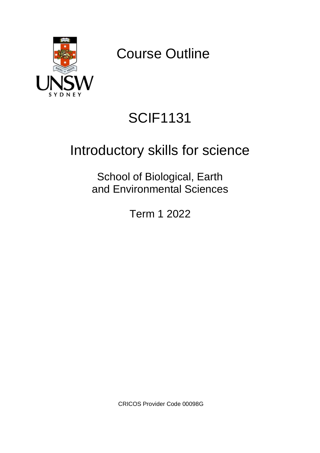

Course Outline

# SCIF1131

# Introductory skills for science

School of Biological, Earth and Environmental Sciences

Term 1 2022

CRICOS Provider Code 00098G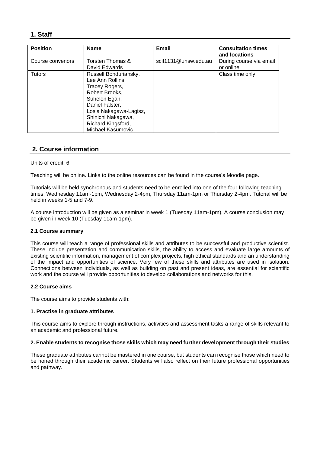# **1. Staff**

| <b>Position</b>  | <b>Name</b>                                                                                                                                                                                                 | Email                | <b>Consultation times</b><br>and locations |
|------------------|-------------------------------------------------------------------------------------------------------------------------------------------------------------------------------------------------------------|----------------------|--------------------------------------------|
| Course convenors | Torsten Thomas &<br>David Edwards                                                                                                                                                                           | scif1131@unsw.edu.au | During course via email<br>or online       |
| <b>Tutors</b>    | Russell Bonduriansky,<br>Lee Ann Rollins<br>Tracey Rogers,<br>Robert Brooks,<br>Suhelen Egan,<br>Daniel Falster,<br>Losia Nakagawa-Lagisz,<br>Shinichi Nakagawa,<br>Richard Kingsford,<br>Michael Kasumovic |                      | Class time only                            |

# **2. Course information**

#### Units of credit: 6

Teaching will be online. Links to the online resources can be found in the course's Moodle page.

Tutorials will be held synchronous and students need to be enrolled into one of the four following teaching times: Wednesday 11am-1pm, Wednesday 2-4pm, Thursday 11am-1pm or Thursday 2-4pm. Tutorial will be held in weeks 1-5 and 7-9.

A course introduction will be given as a seminar in week 1 (Tuesday 11am-1pm). A course conclusion may be given in week 10 (Tuesday 11am-1pm).

#### **2.1 Course summary**

This course will teach a range of professional skills and attributes to be successful and productive scientist. These include presentation and communication skills, the ability to access and evaluate large amounts of existing scientific information, management of complex projects, high ethical standards and an understanding of the impact and opportunities of science. Very few of these skills and attributes are used in isolation. Connections between individuals, as well as building on past and present ideas, are essential for scientific work and the course will provide opportunities to develop collaborations and networks for this.

### **2.2 Course aims**

The course aims to provide students with:

#### **1. Practise in graduate attributes**

This course aims to explore through instructions, activities and assessment tasks a range of skills relevant to an academic and professional future.

#### **2. Enable students to recognise those skills which may need further development through their studies**

These graduate attributes cannot be mastered in one course, but students can recognise those which need to be honed through their academic career. Students will also reflect on their future professional opportunities and pathway.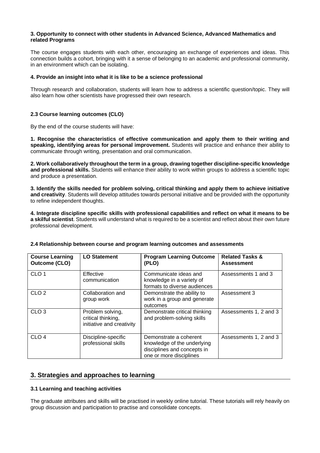#### **3. Opportunity to connect with other students in Advanced Science, Advanced Mathematics and related Programs**

The course engages students with each other, encouraging an exchange of experiences and ideas. This connection builds a cohort, bringing with it a sense of belonging to an academic and professional community, in an environment which can be isolating.

#### **4. Provide an insight into what it is like to be a science professional**

Through research and collaboration, students will learn how to address a scientific question/topic. They will also learn how other scientists have progressed their own research.

### **2.3 Course learning outcomes (CLO)**

By the end of the course students will have:

**1. Recognise the characteristics of effective communication and apply them to their writing and speaking, identifying areas for personal improvement.** Students will practice and enhance their ability to communicate through writing, presentation and oral communication.

**2. Work collaboratively throughout the term in a group, drawing together discipline-specific knowledge and professional skills.** Students will enhance their ability to work within groups to address a scientific topic and produce a presentation.

**3. Identify the skills needed for problem solving, critical thinking and apply them to achieve initiative and creativity**. Students will develop attitudes towards personal initiative and be provided with the opportunity to refine independent thoughts.

**4. Integrate discipline specific skills with professional capabilities and reflect on what it means to be a skilful scientist**. Students will understand what is required to be a scientist and reflect about their own future professional development.

| <b>Course Learning</b><br><b>Outcome (CLO)</b> | <b>LO Statement</b>                                                 | <b>Program Learning Outcome</b><br>(PLO)                                                                        | <b>Related Tasks &amp;</b><br><b>Assessment</b> |
|------------------------------------------------|---------------------------------------------------------------------|-----------------------------------------------------------------------------------------------------------------|-------------------------------------------------|
| CLO <sub>1</sub>                               | Effective<br>communication                                          | Communicate ideas and<br>knowledge in a variety of<br>formats to diverse audiences                              | Assessments 1 and 3                             |
| CLO <sub>2</sub>                               | Collaboration and<br>group work                                     | Demonstrate the ability to<br>work in a group and generate<br>outcomes                                          | Assessment 3                                    |
| CLO <sub>3</sub>                               | Problem solving,<br>critical thinking,<br>initiative and creativity | Demonstrate critical thinking<br>and problem-solving skills                                                     | Assessments 1, 2 and 3                          |
| CLO <sub>4</sub>                               | Discipline-specific<br>professional skills                          | Demonstrate a coherent<br>knowledge of the underlying<br>disciplines and concepts in<br>one or more disciplines | Assessments 1, 2 and 3                          |

### **2.4 Relationship between course and program learning outcomes and assessments**

## **3. Strategies and approaches to learning**

### **3.1 Learning and teaching activities**

The graduate attributes and skills will be practised in weekly online tutorial. These tutorials will rely heavily on group discussion and participation to practise and consolidate concepts.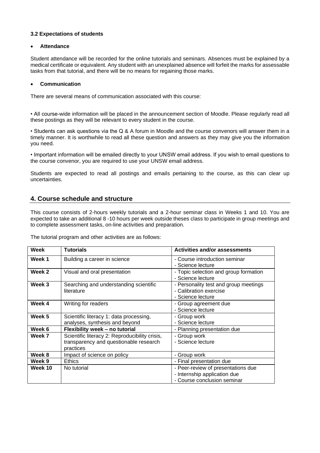## **3.2 Expectations of students**

#### • **Attendance**

Student attendance will be recorded for the online tutorials and seminars. Absences must be explained by a medical certificate or equivalent. Any student with an unexplained absence will forfeit the marks for assessable tasks from that tutorial, and there will be no means for regaining those marks.

#### • **Communication**

There are several means of communication associated with this course:

• All course-wide information will be placed in the announcement section of Moodle. Please regularly read all these postings as they will be relevant to every student in the course.

• Students can ask questions via the Q & A forum in Moodle and the course convenors will answer them in a timely manner. It is worthwhile to read all these question and answers as they may give you the information you need.

• Important information will be emailed directly to your UNSW email address. If you wish to email questions to the course convenor, you are required to use your UNSW email address.

Students are expected to read all postings and emails pertaining to the course, as this can clear up uncertainties.

# **4. Course schedule and structure**

This course consists of 2-hours weekly tutorials and a 2-hour seminar class in Weeks 1 and 10. You are expected to take an additional 8 -10 hours per week outside theses class to participate in group meetings and to complete assessment tasks, on-line activities and preparation.

The tutorial program and other activities are as follows:

| Week    | <b>Tutorials</b>                                                                                      | <b>Activities and/or assessments</b>                                                              |
|---------|-------------------------------------------------------------------------------------------------------|---------------------------------------------------------------------------------------------------|
| Week 1  | Building a career in science                                                                          | - Course introduction seminar<br>- Science lecture                                                |
| Week 2  | Visual and oral presentation                                                                          | - Topic selection and group formation<br>- Science lecture                                        |
| Week 3  | Searching and understanding scientific<br>literature                                                  | - Personality test and group meetings<br>- Calibration exercise<br>- Science lecture              |
| Week 4  | Writing for readers                                                                                   | - Group agreement due<br>- Science lecture                                                        |
| Week 5  | Scientific literacy 1: data processing,<br>analyses, synthesis and beyond                             | - Group work<br>- Science lecture                                                                 |
| Week 6  | Flexibility week - no tutorial                                                                        | - Planning presentation due                                                                       |
| Week 7  | Scientific literacy 2: Reproducibility crisis,<br>transparency and questionable research<br>practices | - Group work<br>- Science lecture                                                                 |
| Week 8  | Impact of science on policy                                                                           | - Group work                                                                                      |
| Week 9  | <b>Ethics</b>                                                                                         | - Final presentation due                                                                          |
| Week 10 | No tutorial                                                                                           | - Peer-review of presentations due<br>- Internship application due<br>- Course conclusion seminar |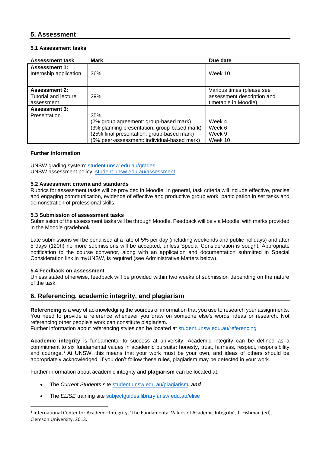# **5. Assessment**

## **5.1 Assessment tasks**

| <b>Assessment task</b>                                     | Mark                                                                                                                                                                                       | Due date                                                                        |
|------------------------------------------------------------|--------------------------------------------------------------------------------------------------------------------------------------------------------------------------------------------|---------------------------------------------------------------------------------|
| <b>Assessment 1:</b><br>Internship application             | 36%                                                                                                                                                                                        | Week 10                                                                         |
| <b>Assessment 2:</b><br>Tutorial and lecture<br>assessment | 29%                                                                                                                                                                                        | Various times (please see<br>assessment description and<br>timetable in Moodle) |
| <b>Assessment 3:</b><br>Presentation                       | 35%<br>(2% group agreement: group-based mark)<br>(3% planning presentation: group-based mark)<br>(25% final presentation: group-based mark)<br>(5% peer-assessment: individual-based mark) | Week 4<br>Week 6<br>Week 9<br>Week 10                                           |

## **Further information**

UNSW grading system: [student.unsw.edu.au/grades](https://student.unsw.edu.au/grades) UNSW assessment policy: [student.unsw.edu.au/assessment](https://student.unsw.edu.au/assessment)

### **5.2 Assessment criteria and standards**

Rubrics for assessment tasks will be provided in Moodle. In general, task criteria will include effective, precise and engaging communication, evidence of effective and productive group work, participation in set tasks and demonstration of professional skills.

### **5.3 Submission of assessment tasks**

Submission of the assessment tasks will be through Moodle. Feedback will be via Moodle, with marks provided in the Moodle gradebook.

Late submissions will be penalised at a rate of 5% per day (including weekends and public holidays) and after 5 days (120h) no more submissions will be accepted, unless Special Consideration is sought. Appropriate notification to the course convenor, along with an application and documentation submitted in Special Consideration link in myUNSW, is required (see Administrative Matters below).

### **5.4 Feedback on assessment**

Unless stated otherwise, feedback will be provided within two weeks of submission depending on the nature of the task.

## **6. Referencing, academic integrity, and plagiarism**

**Referencing** is a way of acknowledging the sources of information that you use to research your assignments. You need to provide a reference whenever you draw on someone else's words, ideas or research. Not referencing other people's work can constitute plagiarism.

Further information about referencing styles can be located at [student.unsw.edu.au/referencing](https://student.unsw.edu.au/referencing)

**Academic integrity** is fundamental to success at university. Academic integrity can be defined as a commitment to six fundamental values in academic pursuits**:** honesty, trust, fairness, respect, responsibility and courage. *<sup>1</sup>* At UNSW, this means that your work must be your own, and ideas of others should be appropriately acknowledged. If you don't follow these rules, plagiarism may be detected in your work.

Further information about academic integrity and **plagiarism** can be located at:

- The *Current Students* site [student.unsw.edu.au/plagiarism](https://student.unsw.edu.au/plagiarism)*, and*
- The *ELISE* training site [subjectguides.library.unsw.edu.au/elise](https://subjectguides.library.unsw.edu.au/elise)

<sup>&</sup>lt;sup>1</sup> International Center for Academic Integrity, 'The Fundamental Values of Academic Integrity', T. Fishman (ed), Clemson University, 2013.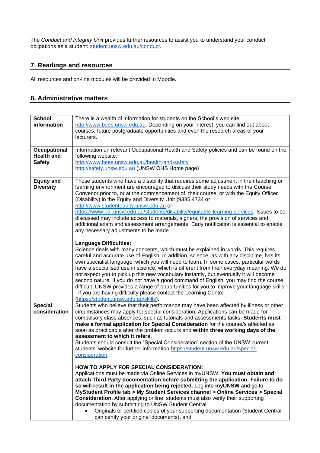The *Conduct and Integrity Unit* provides further resources to assist you to understand your conduct obligations as a student: [student.unsw.edu.au/conduct.](https://student.unsw.edu.au/conduct)

# **7. Readings and resources**

All resources and on-line modules will be provided in Moodle.

# **8. Administrative matters**

| <b>School</b><br>information                              | There is a wealth of information for students on the School's web site<br>http://www.bees.unsw.edu.au. Depending on your interest, you can find out about<br>courses, future postgraduate opportunities and even the research areas of your<br>lecturers.                                                                                                                                                                                                                                                                                                                                                                                                                                                                                                                                          |
|-----------------------------------------------------------|----------------------------------------------------------------------------------------------------------------------------------------------------------------------------------------------------------------------------------------------------------------------------------------------------------------------------------------------------------------------------------------------------------------------------------------------------------------------------------------------------------------------------------------------------------------------------------------------------------------------------------------------------------------------------------------------------------------------------------------------------------------------------------------------------|
| <b>Occupational</b><br><b>Health and</b><br><b>Safety</b> | Information on relevant Occupational Health and Safety policies and can be found on the<br>following website:<br>http://www.bees.unsw.edu.au/health-and-safety<br>http://safety.unsw.edu.au (UNSW OHS Home page)                                                                                                                                                                                                                                                                                                                                                                                                                                                                                                                                                                                   |
| <b>Equity and</b><br><b>Diversity</b>                     | Those students who have a disability that requires some adjustment in their teaching or<br>learning environment are encouraged to discuss their study needs with the Course<br>Convenor prior to, or at the commencement of, their course, or with the Equity Officer<br>(Disability) in the Equity and Diversity Unit (9385 4734 or<br>http://www.studentequity.unsw.edu.au or<br>https://www.edi.unsw.edu.au/students/disability/equitable-learning-services. Issues to be<br>discussed may include access to materials, signers, the provision of services and<br>additional exam and assessment arrangements. Early notification is essential to enable<br>any necessary adjustments to be made.                                                                                               |
|                                                           | <b>Language Difficulties:</b><br>Science deals with many concepts, which must be explained in words. This requires<br>careful and accurate use of English. In addition, science, as with any discipline, has its<br>own specialist language, which you will need to learn. In some cases, particular words<br>have a specialised use in science, which is different from their everyday meaning. We do<br>not expect you to pick up this new vocabulary instantly, but eventually it will become<br>second nature. If you do not have a good command of English, you may find the course<br>difficult. UNSW provides a range of opportunities for you to improve your language skills<br>-if you are having difficulty please contact the Learning Centre<br>(https://student.unsw.edu.au/skills). |
| <b>Special</b><br>consideration                           | Students who believe that their performance may have been affected by illness or other<br>circumstances may apply for special consideration. Applications can be made for<br>compulsory class absences, such as tutorials and assessments tasks. Students must<br>make a formal application for Special Consideration for the course/s affected as<br>soon as practicable after the problem occurs and within three working days of the<br>assessment to which it refers.<br>Students should consult the "Special Consideration" section of the UNSW current<br>students' website for further information https://student.unsw.edu.au/special-<br>consideration.                                                                                                                                   |
|                                                           | HOW TO APPLY FOR SPECIAL CONSIDERATION:<br>Applications must be made via Online Services in myUNSW. You must obtain and<br>attach Third Party documentation before submitting the application. Failure to do<br>so will result in the application being rejected. Log into myUNSW and go to<br>MyStudent Profile tab > My Student Services channel > Online Services > Special<br><b>Consideration.</b> After applying online, students must also verify their supporting<br>documentation by submitting to UNSW Student Central:<br>Originals or certified copies of your supporting documentation (Student Central<br>can certify your original documents), and                                                                                                                                  |